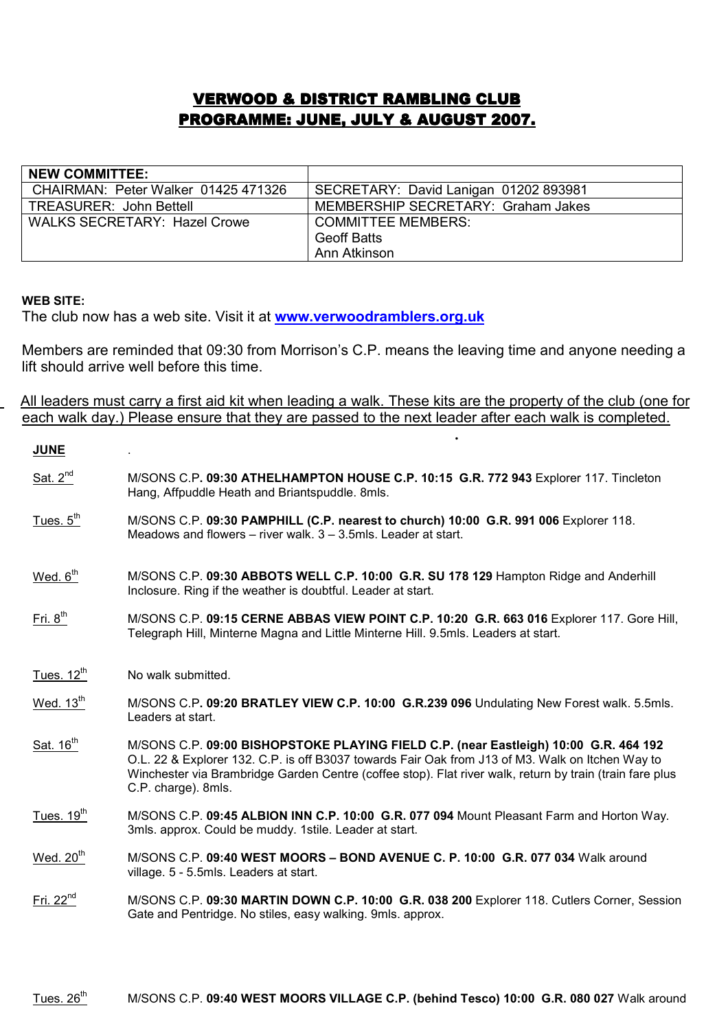## **VERWOOD & DISTRICT RAMBLING CLUB** PROGRAMME: JUNE, JULY & AUGUST 2007.

| <b>NEW COMMITTEE:</b>               |                                       |
|-------------------------------------|---------------------------------------|
| CHAIRMAN: Peter Walker 01425 471326 | SECRETARY: David Lanigan 01202 893981 |
| <b>TREASURER: John Bettell</b>      | MEMBERSHIP SECRETARY: Graham Jakes    |
| <b>WALKS SECRETARY: Hazel Crowe</b> | <b>COMMITTEE MEMBERS:</b>             |
|                                     | <b>Geoff Batts</b>                    |
|                                     | Ann Atkinson                          |

## WEB SITE:

The club now has a web site. Visit it at **www.verwoodramblers.org.uk** 

Members are reminded that 09:30 from Morrison's C.P. means the leaving time and anyone needing a lift should arrive well before this time.

 All leaders must carry a first aid kit when leading a walk. These kits are the property of the club (one for each walk day.) Please ensure that they are passed to the next leader after each walk is completed. .

| <b>JUNE</b>            |                                                                                                                                                                                                                                                                                                                             |
|------------------------|-----------------------------------------------------------------------------------------------------------------------------------------------------------------------------------------------------------------------------------------------------------------------------------------------------------------------------|
| Sat. $2^{nd}$          | M/SONS C.P. 09:30 ATHELHAMPTON HOUSE C.P. 10:15 G.R. 772 943 Explorer 117. Tincleton<br>Hang, Affpuddle Heath and Briantspuddle. 8mls.                                                                                                                                                                                      |
| Tues. $5th$            | M/SONS C.P. 09:30 PAMPHILL (C.P. nearest to church) 10:00 G.R. 991 006 Explorer 118.<br>Meadows and flowers $-$ river walk, $3 - 3.5$ mls. Leader at start,                                                                                                                                                                 |
| Wed. $6th$             | M/SONS C.P. 09:30 ABBOTS WELL C.P. 10:00 G.R. SU 178 129 Hampton Ridge and Anderhill<br>Inclosure. Ring if the weather is doubtful. Leader at start.                                                                                                                                                                        |
| $Fri. 8th$             | M/SONS C.P. 09:15 CERNE ABBAS VIEW POINT C.P. 10:20 G.R. 663 016 Explorer 117. Gore Hill,<br>Telegraph Hill, Minterne Magna and Little Minterne Hill. 9.5mls. Leaders at start.                                                                                                                                             |
| Tues. $12^{\text{th}}$ | No walk submitted.                                                                                                                                                                                                                                                                                                          |
| Wed. $13th$            | M/SONS C.P. 09:20 BRATLEY VIEW C.P. 10:00 G.R.239 096 Undulating New Forest walk. 5.5mls.<br>Leaders at start.                                                                                                                                                                                                              |
| Sat. 16 <sup>th</sup>  | M/SONS C.P. 09:00 BISHOPSTOKE PLAYING FIELD C.P. (near Eastleigh) 10:00 G.R. 464 192<br>O.L. 22 & Explorer 132. C.P. is off B3037 towards Fair Oak from J13 of M3. Walk on Itchen Way to<br>Winchester via Brambridge Garden Centre (coffee stop). Flat river walk, return by train (train fare plus<br>C.P. charge). 8mls. |
| Tues. $19th$           | M/SONS C.P. 09:45 ALBION INN C.P. 10:00 G.R. 077 094 Mount Pleasant Farm and Horton Way.<br>3mls. approx. Could be muddy. 1stile. Leader at start.                                                                                                                                                                          |
| Wed. $20th$            | M/SONS C.P. 09:40 WEST MOORS - BOND AVENUE C. P. 10:00 G.R. 077 034 Walk around<br>village. 5 - 5.5mls. Leaders at start.                                                                                                                                                                                                   |
| Fri. $22^{nd}$         | M/SONS C.P. 09:30 MARTIN DOWN C.P. 10:00 G.R. 038 200 Explorer 118. Cutlers Corner, Session<br>Gate and Pentridge. No stiles, easy walking. 9mls. approx.                                                                                                                                                                   |
|                        |                                                                                                                                                                                                                                                                                                                             |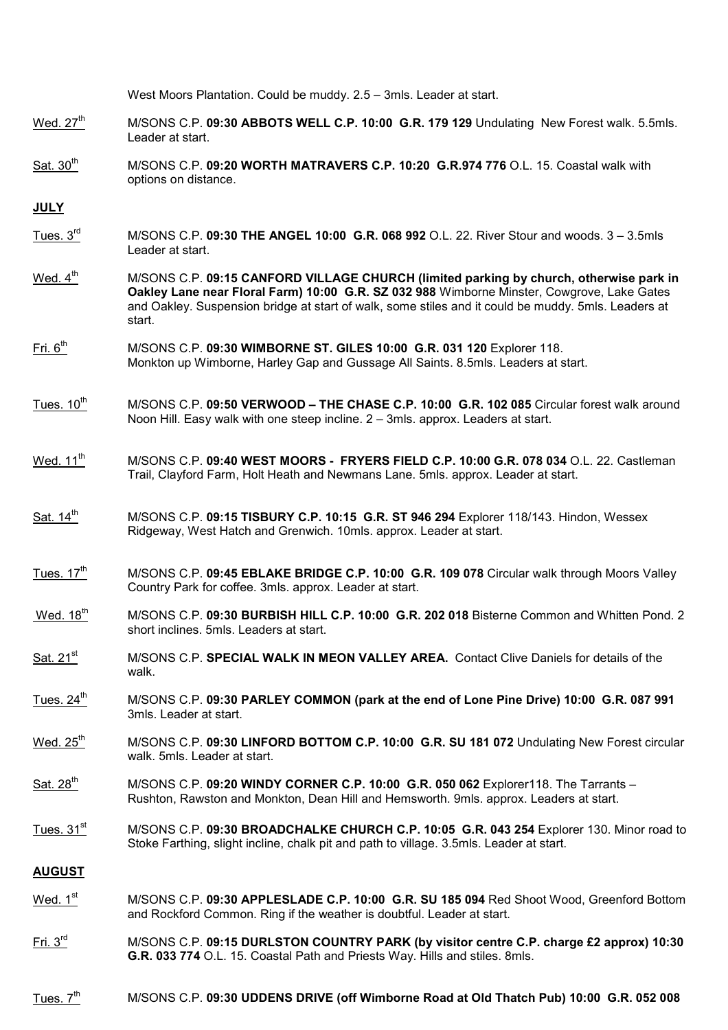|                        | West Moors Plantation. Could be muddy. 2.5 - 3mls. Leader at start.                                                                                                                                                                                                                                   |
|------------------------|-------------------------------------------------------------------------------------------------------------------------------------------------------------------------------------------------------------------------------------------------------------------------------------------------------|
| Wed. $27th$            | M/SONS C.P. 09:30 ABBOTS WELL C.P. 10:00 G.R. 179 129 Undulating New Forest walk. 5.5mls.<br>Leader at start.                                                                                                                                                                                         |
| Sat. 30 <sup>th</sup>  | M/SONS C.P. 09:20 WORTH MATRAVERS C.P. 10:20 G.R.974 776 O.L. 15. Coastal walk with<br>options on distance.                                                                                                                                                                                           |
| <b>JULY</b>            |                                                                                                                                                                                                                                                                                                       |
| Tues. $3rd$            | M/SONS C.P. 09:30 THE ANGEL 10:00 G.R. 068 992 O.L. 22. River Stour and woods. 3 – 3.5mls<br>Leader at start.                                                                                                                                                                                         |
| Wed. 4 <sup>th</sup>   | M/SONS C.P. 09:15 CANFORD VILLAGE CHURCH (limited parking by church, otherwise park in<br>Oakley Lane near Floral Farm) 10:00 G.R. SZ 032 988 Wimborne Minster, Cowgrove, Lake Gates<br>and Oakley. Suspension bridge at start of walk, some stiles and it could be muddy. 5mls. Leaders at<br>start. |
| $Fri. 6th$             | M/SONS C.P. 09:30 WIMBORNE ST. GILES 10:00 G.R. 031 120 Explorer 118.<br>Monkton up Wimborne, Harley Gap and Gussage All Saints. 8.5mls. Leaders at start.                                                                                                                                            |
| Tues. $10^{th}$        | M/SONS C.P. 09:50 VERWOOD - THE CHASE C.P. 10:00 G.R. 102 085 Circular forest walk around<br>Noon Hill. Easy walk with one steep incline. 2 – 3mls. approx. Leaders at start.                                                                                                                         |
| Wed. 11 <sup>th</sup>  | M/SONS C.P. 09:40 WEST MOORS - FRYERS FIELD C.P. 10:00 G.R. 078 034 O.L. 22. Castleman<br>Trail, Clayford Farm, Holt Heath and Newmans Lane. 5mls. approx. Leader at start.                                                                                                                           |
| Sat. 14 <sup>th</sup>  | M/SONS C.P. 09:15 TISBURY C.P. 10:15 G.R. ST 946 294 Explorer 118/143. Hindon, Wessex<br>Ridgeway, West Hatch and Grenwich. 10mls. approx. Leader at start.                                                                                                                                           |
| Tues. $17th$           | M/SONS C.P. 09:45 EBLAKE BRIDGE C.P. 10:00 G.R. 109 078 Circular walk through Moors Valley<br>Country Park for coffee. 3mls. approx. Leader at start.                                                                                                                                                 |
| Wed. 18th              | M/SONS C.P. 09:30 BURBISH HILL C.P. 10:00 G.R. 202 018 Bisterne Common and Whitten Pond. 2<br>short inclines. 5mls. Leaders at start.                                                                                                                                                                 |
| Sat. 21 <sup>st</sup>  | M/SONS C.P. SPECIAL WALK IN MEON VALLEY AREA. Contact Clive Daniels for details of the<br>walk.                                                                                                                                                                                                       |
| Tues. $24^{\text{th}}$ | M/SONS C.P. 09:30 PARLEY COMMON (park at the end of Lone Pine Drive) 10:00 G.R. 087 991<br>3mls. Leader at start.                                                                                                                                                                                     |
| Wed. $25th$            | M/SONS C.P. 09:30 LINFORD BOTTOM C.P. 10:00 G.R. SU 181 072 Undulating New Forest circular<br>walk. 5mls. Leader at start.                                                                                                                                                                            |
| Sat. 28 <sup>th</sup>  | M/SONS C.P. 09:20 WINDY CORNER C.P. 10:00 G.R. 050 062 Explorer118. The Tarrants -<br>Rushton, Rawston and Monkton, Dean Hill and Hemsworth. 9mls. approx. Leaders at start.                                                                                                                          |
| Tues. 31 <sup>st</sup> | M/SONS C.P. 09:30 BROADCHALKE CHURCH C.P. 10:05 G.R. 043 254 Explorer 130. Minor road to<br>Stoke Farthing, slight incline, chalk pit and path to village. 3.5mls. Leader at start.                                                                                                                   |
| <b>AUGUST</b>          |                                                                                                                                                                                                                                                                                                       |
| Wed. $1st$             | M/SONS C.P. 09:30 APPLESLADE C.P. 10:00 G.R. SU 185 094 Red Shoot Wood, Greenford Bottom<br>and Rockford Common. Ring if the weather is doubtful. Leader at start.                                                                                                                                    |
| $Fri. 3rd$             | M/SONS C.P. 09:15 DURLSTON COUNTRY PARK (by visitor centre C.P. charge £2 approx) 10:30<br>G.R. 033 774 O.L. 15. Coastal Path and Priests Way. Hills and stiles. 8mls.                                                                                                                                |
|                        |                                                                                                                                                                                                                                                                                                       |

 $\frac{m}{100}$  M/SONS C.P. 09:30 UDDENS DRIVE (off Wimborne Road at Old Thatch Pub) 10:00 G.R. 052 008